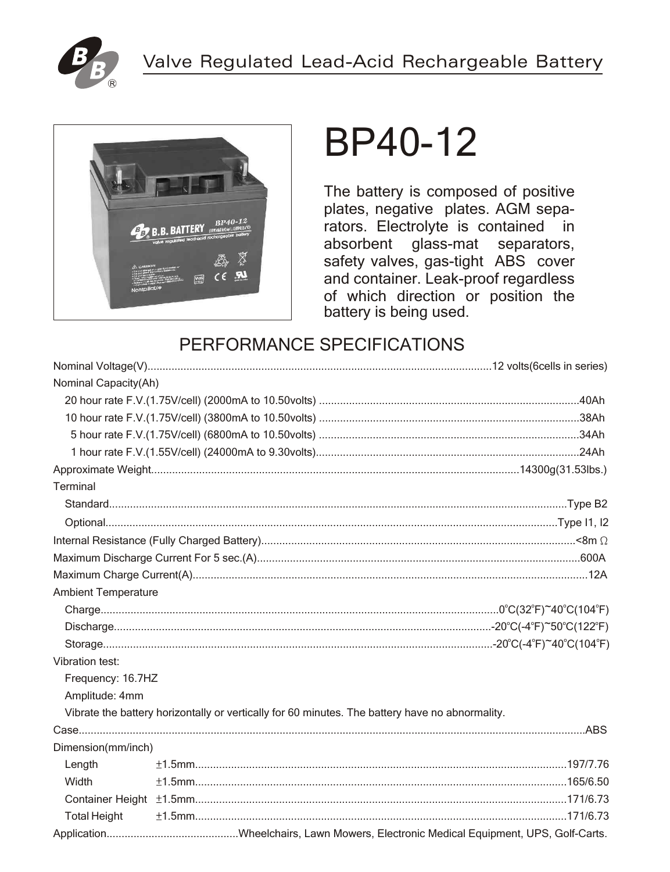



# **BP40-12**

The battery is composed of positive plates, negative plates. AGM separators. Electrolyte is contained in absorbent glass-mat separators, safety valves, gas-tight ABS cover and container. Leak-proof regardless of which direction or position the battery is being used.

# PERFORMANCE SPECIFICATIONS

| Nominal Capacity(Ah)       |                                                                                                 |  |  |  |  |
|----------------------------|-------------------------------------------------------------------------------------------------|--|--|--|--|
|                            |                                                                                                 |  |  |  |  |
|                            |                                                                                                 |  |  |  |  |
|                            |                                                                                                 |  |  |  |  |
|                            |                                                                                                 |  |  |  |  |
|                            |                                                                                                 |  |  |  |  |
| Terminal                   |                                                                                                 |  |  |  |  |
|                            |                                                                                                 |  |  |  |  |
|                            |                                                                                                 |  |  |  |  |
|                            |                                                                                                 |  |  |  |  |
|                            |                                                                                                 |  |  |  |  |
|                            |                                                                                                 |  |  |  |  |
| <b>Ambient Temperature</b> |                                                                                                 |  |  |  |  |
|                            |                                                                                                 |  |  |  |  |
|                            |                                                                                                 |  |  |  |  |
|                            |                                                                                                 |  |  |  |  |
| Vibration test:            |                                                                                                 |  |  |  |  |
| Frequency: 16.7HZ          |                                                                                                 |  |  |  |  |
| Amplitude: 4mm             |                                                                                                 |  |  |  |  |
|                            | Vibrate the battery horizontally or vertically for 60 minutes. The battery have no abnormality. |  |  |  |  |
|                            |                                                                                                 |  |  |  |  |
| Dimension(mm/inch)         |                                                                                                 |  |  |  |  |
| Length                     |                                                                                                 |  |  |  |  |
| Width                      |                                                                                                 |  |  |  |  |
|                            |                                                                                                 |  |  |  |  |
| <b>Total Height</b>        |                                                                                                 |  |  |  |  |
|                            |                                                                                                 |  |  |  |  |